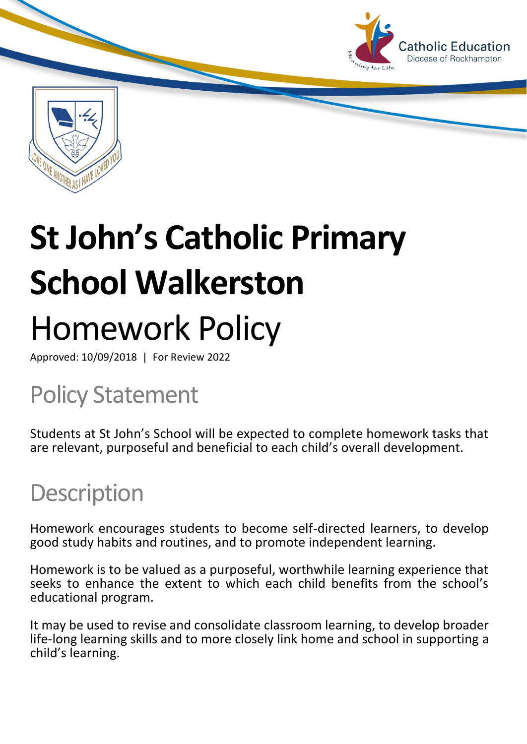

# **St John's Catholic Primary School Walkerston** Homework Policy

Approved: 10/09/2018 | For Review 2022

## Policy Statement

Students at St John's School will be expected to complete homework tasks that are relevant, purposeful and beneficial to each child's overall development.

### **Description**

Homework encourages students to become self-directed learners, to develop good study habits and routines, and to promote independent learning.

Homework is to be valued as a purposeful, worthwhile learning experience that seeks to enhance the extent to which each child benefits from the school's educational program.

It may be used to revise and consolidate classroom learning, to develop broader life-long learning skills and to more closely link home and school in supporting a child's learning.